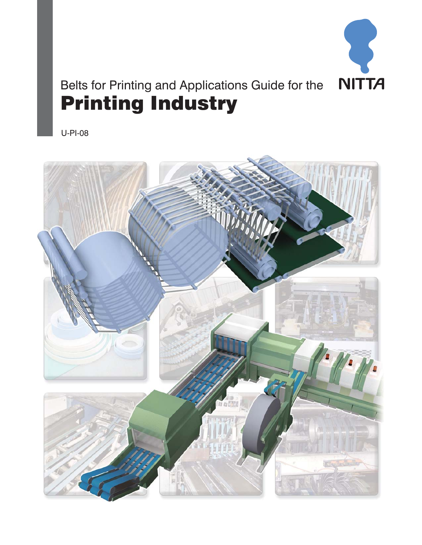

# Belts for Printing and Applications Guide for the Printing Industry

U-PI-08

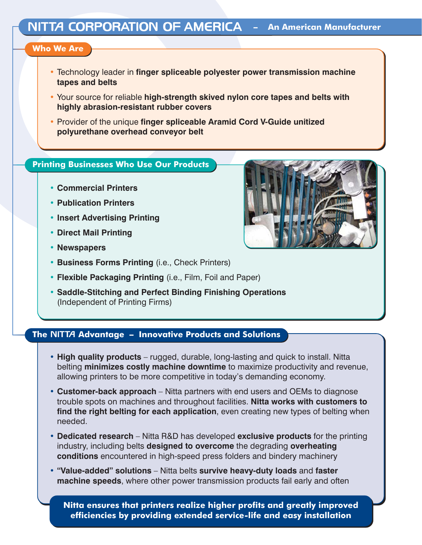### **Who We Are**

- Technology leader in **finger spliceable polyester power transmission machine tapes and belts**
- Your source for reliable **high-strength skived nylon core tapes and belts with highly abrasion-resistant rubber covers**
- Provider of the unique **finger spliceable Aramid Cord V-Guide unitized polyurethane overhead conveyor belt**

## **Printing Businesses Who Use Our Products**

- **Commercial Printers**
- **Publication Printers**
- **Insert Advertising Printing**
- **Direct Mail Printing**
- **Newspapers**
- **Business Forms Printing** (i.e., Check Printers)
- **Flexible Packaging Printing** (i.e., Film, Foil and Paper)
- **Saddle-Stitching and Perfect Binding Finishing Operations** (Independent of Printing Firms)

# **The Advantage – Innovative Products and Solutions**

- **High quality products** rugged, durable, long-lasting and quick to install. Nitta belting **minimizes costly machine downtime** to maximize productivity and revenue, allowing printers to be more competitive in today's demanding economy.
- **Customer-back approach** Nitta partners with end users and OEMs to diagnose trouble spots on machines and throughout facilities. **Nitta works with customers to find the right belting for each application**, even creating new types of belting when needed.
- **Dedicated research** Nitta R&D has developed **exclusive products** for the printing industry, including belts **designed to overcome** the degrading **overheating conditions** encountered in high-speed press folders and bindery machinery
- **"Value-added" solutions** Nitta belts **survive heavy-duty loads** and **faster machine speeds**, where other power transmission products fail early and often

**Nitta ensures that printers realize higher profits and greatly improved efficiencies by providing extended service-life and easy installation**

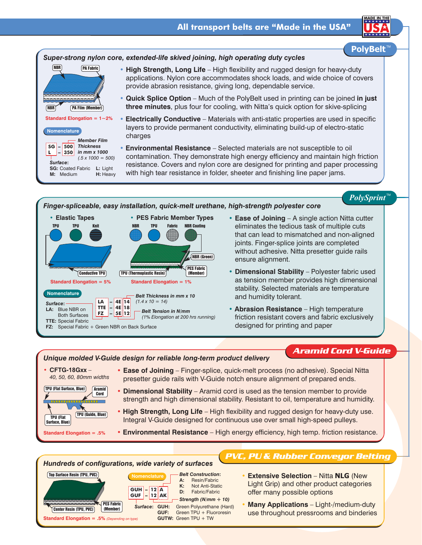

*PolySprint*™

### *Finger-spliceable, easy installation, quick-melt urethane, high-strength polyester core*



- **Ease of Joining** A single action Nitta cutter eliminates the tedious task of multiple cuts that can lead to mismatched and non-aligned joints. Finger-splice joints are completed without adhesive. Nitta presetter guide rails ensure alignment.
- **Dimensional Stability** Polyester fabric used as tension member provides high dimensional stability. Selected materials are temperature and humidity tolerant.
- **Abrasion Resistance** High temperature friction resistant covers and fabric exclusively designed for printing and paper

#### *Unique molded V-Guide design for reliable long-term product delivery*

# *Aramid Cord V-Guide*

• **CFTG-18Gxx** – *40, 50, 60, 80mm widths* TPU (Flat Surface, Blue) TPU (Guide, Blue) **Aramid** Cord TPU (Flat Surface, Blue)

**Standard Elongation = .5%**

- **Ease of Joining** Finger-splice, quick-melt process (no adhesive). Special Nitta presetter guide rails with V-Guide notch ensure alignment of prepared ends.
	- **Dimensional Stability** Aramid cord is used as the tension member to provide strength and high dimensional stability. Resistant to oil, temperature and humidity.
	- **High Strength, Long Life** High flexibility and rugged design for heavy-duty use. Integral V-Guide designed for continuous use over small high-speed pulleys.
	- **Environmental Resistance** High energy efficiency, high temp. friction resistance.

# *Hundreds of configurations, wide variety of surfaces*



# *PVC, PU & Rubber Conveyor Belting*

- **Extensive Selection** Nitta **NLG** (New Light Grip) and other product categories offer many possible options
- **Many Applications** Light-/medium-duty use throughout pressrooms and binderies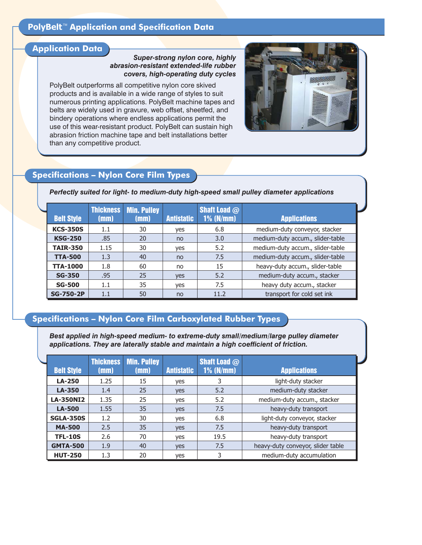# **PolyBelt<sup>™</sup> Application and Specification Data**

### **Application Data**

#### *Super-strong nylon core, highly abrasion-resistant extended-life rubber covers, high-operating duty cycles*

PolyBelt outperforms all competitive nylon core skived products and is available in a wide range of styles to suit numerous printing applications. PolyBelt machine tapes and belts are widely used in gravure, web offset, sheetfed, and bindery operations where endless applications permit the use of this wear-resistant product. PolyBelt can sustain high abrasion friction machine tape and belt installations better than any competitive product.



# **Specifications – Nylon Core Film Types**

#### *Perfectly suited for light- to medium-duty high-speed small pulley diameter applications*

| <b>Belt Style</b> | <b>Thickness</b><br>(mm) | <b>Min. Pulley</b><br>(mm) | <b>Antistatic</b> | <b>Shaft Load <math>@</math></b><br>$1\%$ (N/mm) | <b>Applications</b>              |
|-------------------|--------------------------|----------------------------|-------------------|--------------------------------------------------|----------------------------------|
| <b>KCS-350S</b>   | 1.1                      | 30                         | yes               | 6.8                                              | medium-duty conveyor, stacker    |
| <b>KSG-250</b>    | .85                      | 20                         | no                | 3.0                                              | medium-duty accum., slider-table |
| <b>TAIR-350</b>   | 1.15                     | 30                         | yes               | 5.2                                              | medium-duty accum., slider-table |
| <b>TTA-500</b>    | 1.3                      | 40                         | no                | 7.5                                              | medium-duty accum., slider-table |
| <b>TTA-1000</b>   | 1.8                      | 60                         | no                | 15                                               | heavy-duty accum., slider-table  |
| <b>SG-350</b>     | .95                      | 25                         | yes               | 5.2                                              | medium-duty accum., stacker      |
| <b>SG-500</b>     | 1.1                      | 35                         | yes               | 7.5                                              | heavy duty accum., stacker       |
| <b>SG-750-2P</b>  | 1.1                      | 50                         | no                | 11.2                                             | transport for cold set ink       |

## **Specifications – Nylon Core Film Carboxylated Rubber Types**

*Best applied in high-speed medium- to extreme-duty small/medium/large pulley diameter applications. They are laterally stable and maintain a high coefficient of friction.*

| <b>Belt Style</b> | <b>Thickness</b><br>(mm) | <b>Min. Pulley</b><br>(mm) | <b>Antistatic</b> | <b>Shaft Load <math>@</math></b><br>$1\%$ (N/mm) | <b>Applications</b>               |  |
|-------------------|--------------------------|----------------------------|-------------------|--------------------------------------------------|-----------------------------------|--|
| <b>LA-250</b>     | 1.25                     | 15                         | yes               | 3                                                | light-duty stacker                |  |
| LA-350            | 1.4                      | 25                         | yes               | 5.2                                              | medium-duty stacker               |  |
| <b>LA-350NI2</b>  | 1.35                     | 25                         | yes               | 5.2                                              | medium-duty accum., stacker       |  |
| <b>LA-500</b>     | 1.55                     | 35                         | yes               | 7.5                                              | heavy-duty transport              |  |
| <b>SGLA-350S</b>  | 1.2                      | 30                         | yes               | 6.8                                              | light-duty conveyor, stacker      |  |
| <b>MA-500</b>     | 2.5                      | 35                         | yes               | 7.5                                              | heavy-duty transport              |  |
| <b>TFL-10S</b>    | 2.6                      | 70                         | yes               | 19.5                                             | heavy-duty transport              |  |
| <b>GMTA-500</b>   | 1.9                      | 40                         | yes               | 7.5                                              | heavy-duty conveyor, slider table |  |
| <b>HUT-250</b>    | 1.3                      | 20                         | yes               | 3                                                | medium-duty accumulation          |  |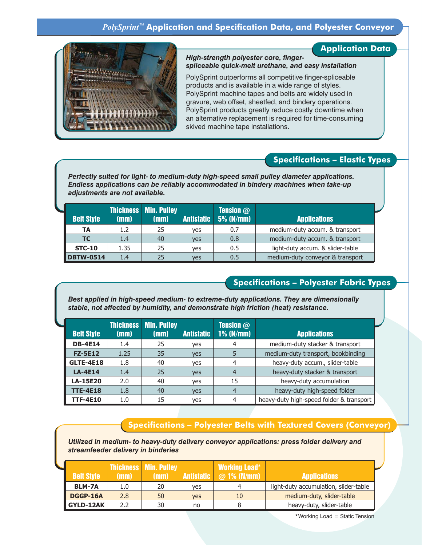

### **Application Data**

#### *High-strength polyester core, fingerspliceable quick-melt urethane, and easy installation*

PolySprint outperforms all competitive finger-spliceable products and is available in a wide range of styles. PolySprint machine tapes and belts are widely used in gravure, web offset, sheetfed, and bindery operations. PolySprint products greatly reduce costly downtime when an alternative replacement is required for time-consuming skived machine tape installations.

## **Specifications – Elastic Types**

*Perfectly suited for light- to medium-duty high-speed small pulley diameter applications. Endless applications can be reliably accommodated in bindery machines when take-up adjustments are not available.*

| <b>Belt Style</b> | (mm) | Thickness Min. Pulley<br>(mm) | <b>Antistatic</b> | <b>Tension</b> $@$<br>$5%$ (N/mm) | <b>Applications</b>              |
|-------------------|------|-------------------------------|-------------------|-----------------------------------|----------------------------------|
| <b>TA</b>         | 1.2  | 25                            | yes               | 0.7                               | medium-duty accum. & transport   |
| TC.               | 1.4  | 40                            | <b>ves</b>        | 0.8                               | medium-duty accum. & transport   |
| <b>STC-10</b>     | 1.35 | 25                            | yes               | 0.5                               | light-duty accum. & slider-table |
| <b>DBTW-0514</b>  | 1.4  | 25                            | ves               | 0.5                               | medium-duty conveyor & transport |

## **Specifications – Polyester Fabric Types**

*Best applied in high-speed medium- to extreme-duty applications. They are dimensionally stable, not affected by humidity, and demonstrate high friction (heat) resistance.*

|                   |      | <b>Thickness Min. Pulley</b> |                   | <b>Tension</b> $@$ |                                          |
|-------------------|------|------------------------------|-------------------|--------------------|------------------------------------------|
| <b>Belt Style</b> | (mm) | (mm)                         | <b>Antistatic</b> | $1\%$ (N/mm)       | <b>Applications</b>                      |
| <b>DB-4E14</b>    | 1.4  | 25                           | yes               | 4                  | medium-duty stacker & transport          |
| <b>FZ-5E12</b>    | 1.25 | 35                           | <b>ves</b>        | 5                  | medium-duty transport, bookbinding       |
| <b>GLTE-4E18</b>  | 1.8  | 40                           | ves               | 4                  | heavy-duty accum., slider-table          |
| <b>LA-4E14</b>    | 1.4  | 25                           | ves               | $\overline{a}$     | heavy-duty stacker & transport           |
| <b>LA-15E20</b>   | 2.0  | 40                           | yes               | 15                 | heavy-duty accumulation                  |
| <b>TTE-4E18</b>   | 1.8  | 40                           | ves               | $\overline{a}$     | heavy-duty high-speed folder             |
| <b>TTF-4E10</b>   | 1.0  | 15                           | yes               | 4                  | heavy-duty high-speed folder & transport |

# **Specifications – Polyester Belts with Textured Covers (Conveyor)**

*Utilized in medium- to heavy-duty delivery conveyor applications: press folder delivery and streamfeeder delivery in binderies*

| <b>Belt Style</b> | (mm) | <b>Thickness   Min. Pulley  </b><br>(mm) |            | <b>Working Load*</b><br>Antistatic   @ 1% (N/mm) | <b>Applications</b>                   |
|-------------------|------|------------------------------------------|------------|--------------------------------------------------|---------------------------------------|
| <b>BLM-7A</b>     | 1.0  | 20                                       | ves        |                                                  | light-duty accumulation, slider-table |
| DGGP-16A          | 2.8  | 50                                       | <b>ves</b> | 10                                               | medium-duty, slider-table             |
| <b>GYLD-12AK</b>  | 2.2  | 30                                       | no         |                                                  | heavy-duty, slider-table              |

\*Working Load = Static Tension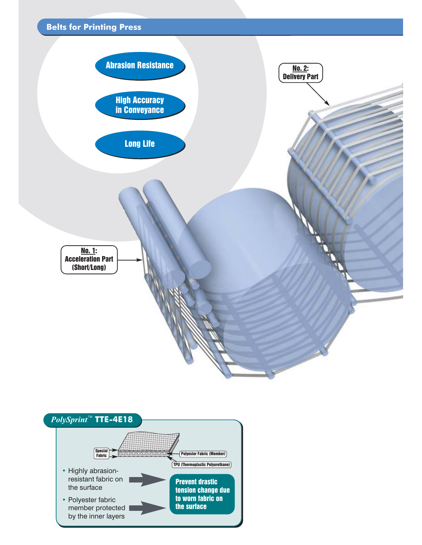



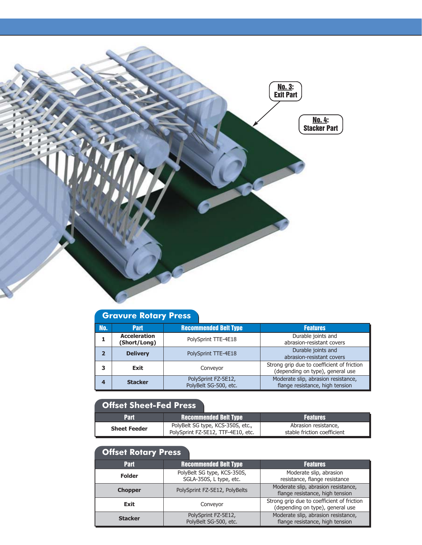

# **Gravure Rotary Press**

| No. | <b>Part</b>                         | <b>Recommended Belt Type</b>                 | <b>Features</b>                                                                |
|-----|-------------------------------------|----------------------------------------------|--------------------------------------------------------------------------------|
|     | <b>Acceleration</b><br>(Short/Long) | PolySprint TTE-4E18                          | Durable joints and<br>abrasion-resistant covers                                |
|     | <b>Delivery</b>                     | PolySprint TTE-4E18                          | Durable joints and<br>abrasion-resistant covers                                |
|     | Exit                                | Conveyor                                     | Strong grip due to coefficient of friction<br>(depending on type), general use |
|     | <b>Stacker</b>                      | PolySprint FZ-5E12,<br>PolyBelt SG-500, etc. | Moderate slip, abrasion resistance,<br>flange resistance, high tension         |

# **Offset Sheet-Fed Press**

| <b>Part</b>         | <b>Recommended Belt Type</b>                                            | <b>Features</b>                                     |  |
|---------------------|-------------------------------------------------------------------------|-----------------------------------------------------|--|
| <b>Sheet Feeder</b> | PolyBelt SG type, KCS-350S, etc.,<br>PolySprint FZ-5E12, TTF-4E10, etc. | Abrasion resistance,<br>stable friction coefficient |  |

# **Offset Rotary Press**

| <b>Part</b>    | <b>Recommended Belt Type</b>                           | <b>Features</b>                                                                |  |  |
|----------------|--------------------------------------------------------|--------------------------------------------------------------------------------|--|--|
| <b>Folder</b>  | PolyBelt SG type, KCS-350S,<br>SGLA-350S, L type, etc. | Moderate slip, abrasion<br>resistance, flange resistance                       |  |  |
| <b>Chopper</b> | PolySprint FZ-5E12, PolyBelts                          | Moderate slip, abrasion resistance,<br>flange resistance, high tension         |  |  |
| Exit           | Conveyor                                               | Strong grip due to coefficient of friction<br>(depending on type), general use |  |  |
| <b>Stacker</b> | PolySprint FZ-5E12,<br>PolyBelt SG-500, etc.           | Moderate slip, abrasion resistance,<br>flange resistance, high tension         |  |  |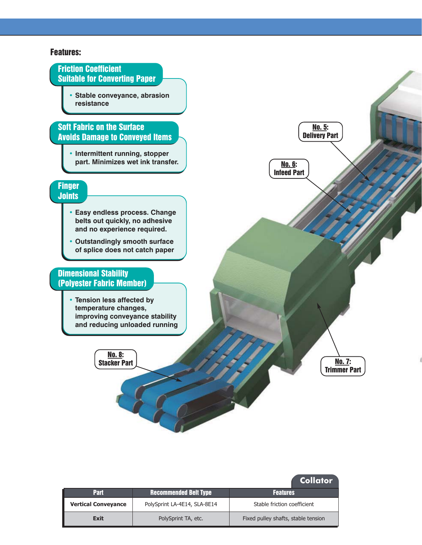### Features:



|                            |                              | Collator                            |
|----------------------------|------------------------------|-------------------------------------|
| <b>Part</b>                | <b>Recommended Belt Type</b> | <b>Features</b>                     |
| <b>Vertical Conveyance</b> | PolySprint LA-4E14, SLA-8E14 | Stable friction coefficient         |
| <b>Exit</b>                | PolySprint TA, etc.          | Fixed pulley shafts, stable tension |

**Collator**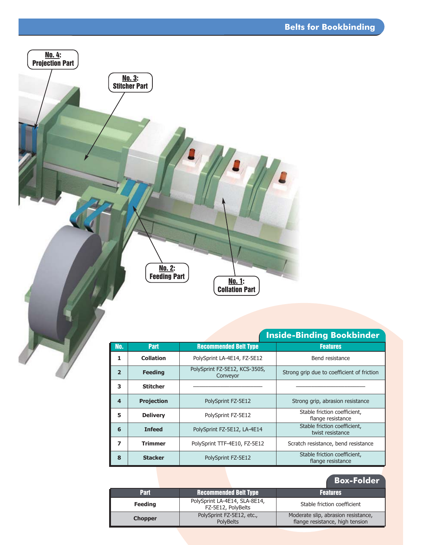

# **Inside-Binding Bookbinder**

| No.                      | <b>Part</b>       | <b>Recommended Belt Type</b>              | <b>Features</b>                                   |  |
|--------------------------|-------------------|-------------------------------------------|---------------------------------------------------|--|
| 1                        | <b>Collation</b>  | PolySprint LA-4E14, FZ-5E12               | Bend resistance                                   |  |
| $\overline{\phantom{a}}$ | <b>Feeding</b>    | PolySprint FZ-5E12, KCS-350S,<br>Conveyor | Strong grip due to coefficient of friction        |  |
| 3                        | <b>Stitcher</b>   |                                           |                                                   |  |
| $\overline{\mathbf{A}}$  | <b>Projection</b> | PolySprint FZ-5E12                        | Strong grip, abrasion resistance                  |  |
| 5                        | <b>Delivery</b>   | PolySprint FZ-5E12                        | Stable friction coefficient,<br>flange resistance |  |
| 6                        | <b>Infeed</b>     | PolySprint FZ-5E12, LA-4E14               | Stable friction coefficient,<br>twist resistance  |  |
| 7                        | Trimmer           | PolySprint TTF-4E10, FZ-5E12              | Scratch resistance, bend resistance               |  |
| 8                        | <b>Stacker</b>    | PolySprint FZ-5E12                        | Stable friction coefficient,<br>flange resistance |  |

|                |                                                     | <b>Box-Folder</b>                                                      |
|----------------|-----------------------------------------------------|------------------------------------------------------------------------|
| <b>Part</b>    | <b>Recommended Belt Type</b>                        | <b>Features</b>                                                        |
| <b>Feeding</b> | PolySprint LA-4E14, SLA-8E14,<br>FZ-5E12, PolyBelts | Stable friction coefficient                                            |
| <b>Chopper</b> | PolySprint FZ-5E12, etc.,<br><b>PolvBelts</b>       | Moderate slip, abrasion resistance,<br>flange resistance, high tension |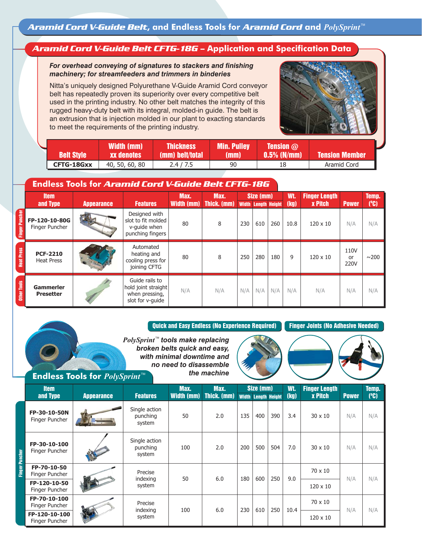# *Aramid Cord V-Guide Belt CFTG-18G* **– Application and Specification Data**

### *For overhead conveying of signatures to stackers and finishing machinery; for streamfeeders and trimmers in binderies*

Nitta's uniquely designed Polyurethane V-Guide Aramid Cord conveyor belt has repeatedly proven its superiority over every competitive belt used in the printing industry. No other belt matches the integrity of this rugged heavy-duty belt with its integral, molded-in guide. The belt is an extrusion that is injection molded in our plant to exacting standards to meet the requirements of the printing industry.



| <b>Belt Style</b> | Width (mm)<br><b>xx denotes</b> ' | <b>Thickness</b> '<br>(mm) belt/total | <b>Min. Pulley</b><br>(mm) | <b>Tension</b> $@$<br>$0.5\%$ (N/mm) | <b>Tension Member</b> |  |
|-------------------|-----------------------------------|---------------------------------------|----------------------------|--------------------------------------|-----------------------|--|
| CFTG-18Gxx        | 40, 50, 60, 80                    | 2.4/7.5                               | 90                         |                                      | Aramid Cord           |  |

# **Endless Tools for** *Aramid Cord V-Guide Belt CFTG-18G*

|                       | <b>Item</b><br>and Type              | <b>Appearance</b> | <b>Features</b>                                                             | Max.<br><b>Width (mm)</b> | Max.<br>Thick. (mm) | Size (mm)<br><b>Width Length Height</b> |     | Wt.<br>(kg) | <b>Finger Length</b><br><b>x Pitch</b> | <b>Power</b>    | Temp.<br>(°C)      |            |
|-----------------------|--------------------------------------|-------------------|-----------------------------------------------------------------------------|---------------------------|---------------------|-----------------------------------------|-----|-------------|----------------------------------------|-----------------|--------------------|------------|
| <b>Finger Puncher</b> | FP-120-10-80G<br>Finger Puncher      |                   | Designed with<br>slot to fit molded<br>v-quide when<br>punching fingers     | 80                        | 8                   | 230                                     | 610 | 260         | 10.8                                   | $120 \times 10$ | N/A                | N/A        |
| <b>Heat Press</b>     | <b>PCF-2210</b><br><b>Heat Press</b> |                   | Automated<br>heating and<br>cooling press for<br>joining CFTG               | 80                        | 8                   | 250                                     | 280 | 180         | 9                                      | $120 \times 10$ | 110V<br>or<br>220V | $\sim$ 200 |
| Other Tools           | <b>Gammerler</b><br><b>Presetter</b> |                   | Guide rails to<br>hold joint straight<br>when pressing,<br>slot for v-quide | N/A                       | N/A                 | N/A                                     | N/A | N/A         | N/A                                    | N/A             | N/A                | N/A        |

Quick and Easy Endless (No Experience Required) Finger Joints (No Adhesive Needed)

*PolySprint*<sup>™</sup> tools make replacing *broken belts quick and easy, with minimal downtime and no need to disassemble the machine*





### **Endless Tools for** *PolySprint*™

|        | <b>Item</b><br>and Type         | <b>Appearance</b> | <b>Features</b>                     | Max.<br><b>Width (mm)</b> | Max.<br>Thick. (mm) |     | Size (mm)<br><b>Width Length Height</b> |     | Wt.<br>(kg)     | <b>Finger Length</b><br><b>x Pitch</b> | <b>Power</b> | Temp.<br>(C) |
|--------|---------------------------------|-------------------|-------------------------------------|---------------------------|---------------------|-----|-----------------------------------------|-----|-----------------|----------------------------------------|--------------|--------------|
|        | FP-30-10-50N<br>Finger Puncher  |                   | Single action<br>punching<br>system | 50                        | 2.0                 | 135 | 400                                     | 390 | 3.4             | $30 \times 10$                         | N/A          | N/A          |
|        | FP-30-10-100<br>Finger Puncher  |                   | Single action<br>punching<br>system | 100                       | 2.0                 | 200 | 500                                     | 504 | 7.0             | $30 \times 10$                         | N/A          | N/A          |
|        | FP-70-10-50<br>Finger Puncher   |                   | Precise<br>indexing                 | 50                        | 6.0                 | 180 | 600                                     | 250 | 9.0             | $70 \times 10$                         | N/A          | N/A          |
| Finger | FP-120-10-50<br>Finger Puncher  |                   | system                              |                           |                     |     |                                         |     |                 | $120 \times 10$                        |              |              |
|        | FP-70-10-100<br>Finger Puncher  |                   | Precise                             | 100                       | 6.0                 | 230 | 610                                     | 250 | 10.4            | $70 \times 10$                         | N/A          | N/A          |
|        | FP-120-10-100<br>Finger Puncher |                   | indexing<br>system                  |                           |                     |     |                                         |     | $120 \times 10$ |                                        |              |              |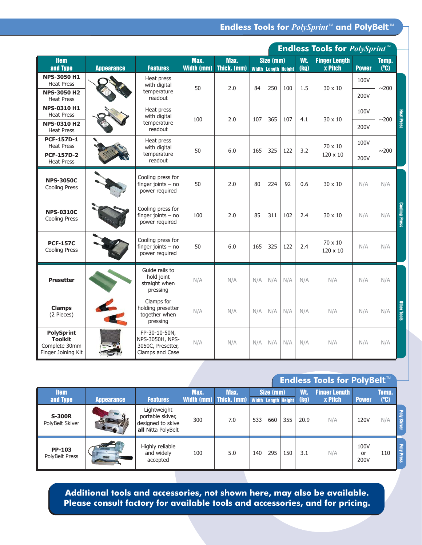**Endless Tools for** *PolySprint***<sup>™</sup> and PolyBelt<sup>™</sup>** 

|                                                                            |                   |                                                                          |                           |                     |                        |                                                 |     |     | <b>Endless Tools for PolySprint™</b>   |              |              |                      |      |  |  |
|----------------------------------------------------------------------------|-------------------|--------------------------------------------------------------------------|---------------------------|---------------------|------------------------|-------------------------------------------------|-----|-----|----------------------------------------|--------------|--------------|----------------------|------|--|--|
| <b>Item</b><br>and Type                                                    | <b>Appearance</b> | <b>Features</b>                                                          | Max.<br><b>Width (mm)</b> | Max.<br>Thick. (mm) |                        | Size (mm)<br>(kg)<br><b>Width Length Height</b> |     |     | <b>Finger Length</b><br><b>x Pitch</b> | <b>Power</b> | Temp.<br>(C) |                      |      |  |  |
| <b>NPS-3050 H1</b><br><b>Heat Press</b>                                    |                   | Heat press<br>with digital                                               | 50                        | 2.0                 | 84                     | 250                                             | 100 | 1.5 | 30 x 10                                | 100V         | $\sim$ 200   |                      |      |  |  |
| <b>NPS-3050 H2</b><br><b>Heat Press</b>                                    |                   |                                                                          |                           |                     | temperature<br>readout |                                                 |     |     |                                        |              |              |                      | 200V |  |  |
| <b>NPS-0310 H1</b><br><b>Heat Press</b>                                    |                   | Heat press<br>with digital                                               |                           |                     |                        |                                                 |     |     |                                        | 100V         | ${\sim}200$  | <b>Heat Press</b>    |      |  |  |
| <b>NPS-0310 H2</b><br><b>Heat Press</b>                                    |                   | temperature<br>readout                                                   | 100                       | 2.0                 | 107                    | 365                                             | 107 | 4.1 | 30 x 10                                | 200V<br>100V |              |                      |      |  |  |
| <b>PCF-157D-1</b><br><b>Heat Press</b>                                     |                   | Heat press<br>with digital                                               | 50                        | 6.0                 |                        |                                                 |     | 3.2 | 70 x 10                                |              |              |                      |      |  |  |
| <b>PCF-157D-2</b><br><b>Heat Press</b>                                     |                   | temperature<br>readout                                                   |                           |                     | 165                    | 325                                             | 122 |     | $120 \times 10$                        | 200V         | $\sim$ 200   |                      |      |  |  |
| <b>NPS-3050C</b><br><b>Cooling Press</b>                                   |                   | Cooling press for<br>finger joints $-$ no<br>power required              | 50                        | 2.0                 | 80                     | 224                                             | 92  | 0.6 | 30 x 10                                | N/A          | N/A          |                      |      |  |  |
| <b>NPS-0310C</b><br><b>Cooling Press</b>                                   |                   | Cooling press for<br>finger joints $-$ no<br>power required              | 100                       | 2.0                 | 85                     | 311                                             | 102 | 2.4 | $30 \times 10$                         | N/A          | N/A          | <b>Cooling Press</b> |      |  |  |
| <b>PCF-157C</b><br><b>Cooling Press</b>                                    |                   | Cooling press for<br>finger joints $-$ no<br>power required              | 50                        | 6.0                 | 165                    | 325                                             | 122 | 2.4 | 70 x 10<br>120 x 10                    | N/A          | N/A          |                      |      |  |  |
| <b>Presetter</b>                                                           |                   | Guide rails to<br>hold joint<br>straight when<br>pressing                | N/A                       | N/A                 | N/A                    | N/A                                             | N/A | N/A | N/A                                    | N/A          | N/A          |                      |      |  |  |
| <b>Clamps</b><br>(2 Pieces)                                                |                   | Clamps for<br>holding presetter<br>together when<br>pressing             | N/A                       | N/A                 | N/A                    | N/A                                             | N/A | N/A | N/A                                    | N/A          | N/A          | <b>Other Tools</b>   |      |  |  |
| <b>PolySprint</b><br><b>Toolkit</b><br>Complete 30mm<br>Finger Joining Kit |                   | FP-30-10-50N,<br>NPS-3050H, NPS-<br>3050C, Presetter,<br>Clamps and Case | N/A                       | N/A                 | N/A                    | N/A                                             | N/A | N/A | N/A                                    | N/A          | N/A          |                      |      |  |  |

# **Endless Tools for PolyBelt™**

| <b>Item</b><br>and Type          | <b>Appearance</b> | <b>Features</b>                                                            | Max. | Max. | Size (mm)<br>Width (mm) Thick. (mm) Width Length Height |     |     | Wt.<br>(kg) | <b>Finger Length</b><br><b>x Pitch</b> | <b>Power</b>       | Temp.<br>(°C) |                          |
|----------------------------------|-------------------|----------------------------------------------------------------------------|------|------|---------------------------------------------------------|-----|-----|-------------|----------------------------------------|--------------------|---------------|--------------------------|
| <b>S-300R</b><br>PolyBelt Skiver | <b>Contract</b>   | Lightweight<br>portable skiver,<br>designed to skive<br>all Nitta PolyBelt | 300  | 7.0  | 533                                                     | 660 | 355 | 20.9        | N/A                                    | 120V               | N/A           | <b>Poly Skiver</b>       |
| <b>PP-103</b><br>PolyBelt Press  |                   | Highly reliable<br>and widely<br>accepted                                  | 100  | 5.0  | 140                                                     | 295 | 150 | 3.1         | N/A                                    | 100V<br>or<br>200V | 110           | <b>E</b><br><b>Press</b> |

**Additional tools and accessories, not shown here, may also be available. Please consult factory for available tools and accessories, and for pricing.**